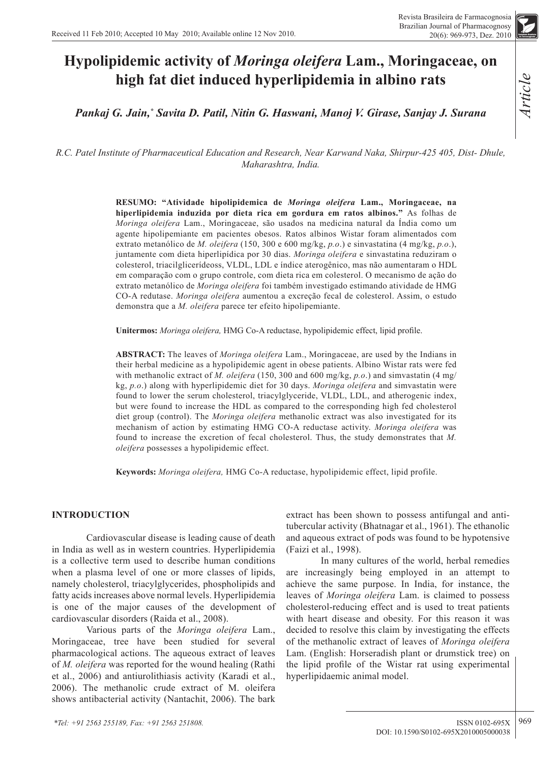# **Hypolipidemic activity of** *Moringa oleifera* **Lam., Moringaceae, on high fat diet induced hyperlipidemia in albino rats**

*Pankaj G. Jain,\* Savita D. Patil, Nitin G. Haswani, Manoj V. Girase, Sanjay J. Surana*

*R.C. Patel Institute of Pharmaceutical Education and Research, Near Karwand Naka, Shirpur-425 405, Dist- Dhule, Maharashtra, India.*

> **RESUMO: "Atividade hipolipidemica de** *Moringa oleifera* **Lam., Moringaceae, na hiperlipidemia induzida por dieta rica em gordura em ratos albinos."** As folhas de *Moringa oleifera* Lam., Moringaceae, são usados na medicina natural da Índia como um agente hipolipemiante em pacientes obesos. Ratos albinos Wistar foram alimentados com extrato metanólico de *M. oleifera* (150, 300 e 600 mg/kg, *p.o*.) e sinvastatina (4 mg/kg, *p.o*.), juntamente com dieta hiperlipídica por 30 dias. *Moringa oleifera* e sinvastatina reduziram o colesterol, triacilglicerídeoss, VLDL, LDL e índice aterogênico, mas não aumentaram o HDL em comparação com o grupo controle, com dieta rica em colesterol. O mecanismo de ação do extrato metanólico de *Moringa oleifera* foi também investigado estimando atividade de HMG CO-A redutase. *Moringa oleifera* aumentou a excreção fecal de colesterol. Assim, o estudo demonstra que a *M. oleifera* parece ter efeito hipolipemiante.

**Unitermos:** *Moringa oleifera,* HMG Co-A reductase, hypolipidemic effect, lipid profile.

**ABSTRACT:** The leaves of *Moringa oleifera* Lam., Moringaceae, are used by the Indians in their herbal medicine as a hypolipidemic agent in obese patients. Albino Wistar rats were fed with methanolic extract of *M. oleifera* (150, 300 and 600 mg/kg, *p.o*.) and simvastatin (4 mg/ kg, *p.o*.) along with hyperlipidemic diet for 30 days. *Moringa oleifera* and simvastatin were found to lower the serum cholesterol, triacylglyceride, VLDL, LDL, and atherogenic index, but were found to increase the HDL as compared to the corresponding high fed cholesterol diet group (control). The *Moringa oleifera* methanolic extract was also investigated for its mechanism of action by estimating HMG CO-A reductase activity. *Moringa oleifera* was found to increase the excretion of fecal cholesterol. Thus, the study demonstrates that *M. oleifera* possesses a hypolipidemic effect.

**Keywords:** *Moringa oleifera,* HMG Co-A reductase, hypolipidemic effect, lipid profile.

# **INTRODUCTION**

Cardiovascular disease is leading cause of death in India as well as in western countries. Hyperlipidemia is a collective term used to describe human conditions when a plasma level of one or more classes of lipids, namely cholesterol, triacylglycerides, phospholipids and fatty acids increases above normal levels. Hyperlipidemia is one of the major causes of the development of cardiovascular disorders (Raida et al., 2008).

Various parts of the *Moringa oleifera* Lam., Moringaceae, tree have been studied for several pharmacological actions. The aqueous extract of leaves of *M. oleifera* was reported for the wound healing (Rathi et al., 2006) and antiurolithiasis activity (Karadi et al., 2006). The methanolic crude extract of M. oleifera shows antibacterial activity (Nantachit, 2006). The bark

extract has been shown to possess antifungal and antitubercular activity (Bhatnagar et al., 1961). The ethanolic and aqueous extract of pods was found to be hypotensive (Faizi et al., 1998).

In many cultures of the world, herbal remedies are increasingly being employed in an attempt to achieve the same purpose. In India, for instance, the leaves of *Moringa oleifera* Lam. is claimed to possess cholesterol-reducing effect and is used to treat patients with heart disease and obesity. For this reason it was decided to resolve this claim by investigating the effects of the methanolic extract of leaves of *Moringa oleifera*  Lam. (English: Horseradish plant or drumstick tree) on the lipid profile of the Wistar rat using experimental hyperlipidaemic animal model.

*Article*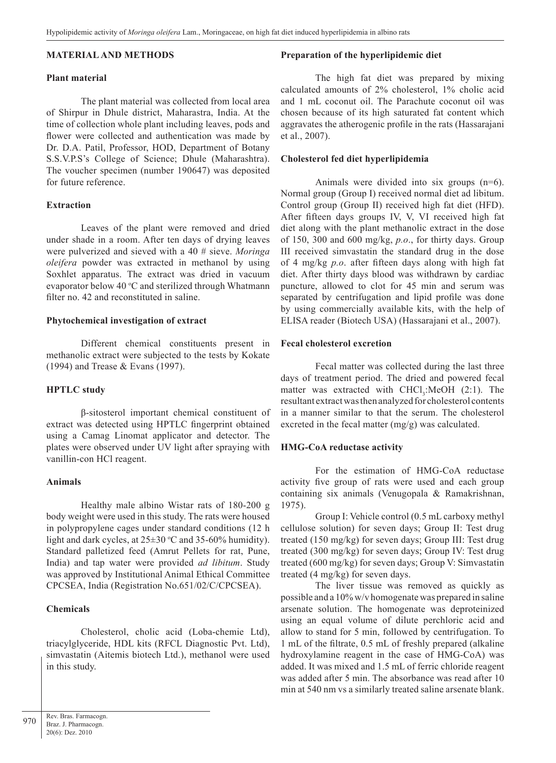#### **MATERIAL AND METHODS**

#### **Plant material**

The plant material was collected from local area of Shirpur in Dhule district, Maharastra, India. At the time of collection whole plant including leaves, pods and flower were collected and authentication was made by Dr. D.A. Patil, Professor, HOD, Department of Botany S.S.V.P.S's College of Science; Dhule (Maharashtra). The voucher specimen (number 190647) was deposited for future reference.

# **Extraction**

Leaves of the plant were removed and dried under shade in a room. After ten days of drying leaves were pulverized and sieved with a 40 # sieve. *Moringa oleifera* powder was extracted in methanol by using Soxhlet apparatus. The extract was dried in vacuum evaporator below  $40^{\circ}$ C and sterilized through Whatmann filter no. 42 and reconstituted in saline.

#### **Phytochemical investigation of extract**

Different chemical constituents present in methanolic extract were subjected to the tests by Kokate (1994) and Trease & Evans (1997).

# **HPTLC study**

β-sitosterol important chemical constituent of extract was detected using HPTLC fingerprint obtained using a Camag Linomat applicator and detector. The plates were observed under UV light after spraying with vanillin-con HCl reagent.

#### **Animals**

Healthy male albino Wistar rats of 180-200 g body weight were used in this study. The rats were housed in polypropylene cages under standard conditions (12 h light and dark cycles, at  $25\pm30$  °C and 35-60% humidity). Standard palletized feed (Amrut Pellets for rat, Pune, India) and tap water were provided *ad libitum*. Study was approved by Institutional Animal Ethical Committee CPCSEA, India (Registration No.651/02/C/CPCSEA).

# **Chemicals**

Cholesterol, cholic acid (Loba-chemie Ltd), triacylglyceride, HDL kits (RFCL Diagnostic Pvt. Ltd), simvastatin (Aitemis biotech Ltd.), methanol were used in this study.

#### **Preparation of the hyperlipidemic diet**

The high fat diet was prepared by mixing calculated amounts of 2% cholesterol, 1% cholic acid and 1 mL coconut oil. The Parachute coconut oil was chosen because of its high saturated fat content which aggravates the atherogenic profile in the rats (Hassarajani et al., 2007).

#### **Cholesterol fed diet hyperlipidemia**

Animals were divided into six groups (n=6). Normal group (Group I) received normal diet ad libitum. Control group (Group II) received high fat diet (HFD). After fifteen days groups IV, V, VI received high fat diet along with the plant methanolic extract in the dose of 150, 300 and 600 mg/kg, *p.o*., for thirty days. Group III received simvastatin the standard drug in the dose of 4 mg/kg *p.o*. after fifteen days along with high fat diet. After thirty days blood was withdrawn by cardiac puncture, allowed to clot for 45 min and serum was separated by centrifugation and lipid profile was done by using commercially available kits, with the help of ELISA reader (Biotech USA) (Hassarajani et al., 2007).

#### **Fecal cholesterol excretion**

Fecal matter was collected during the last three days of treatment period. The dried and powered fecal matter was extracted with  $CHCl<sub>3</sub>:MeOH (2:1)$ . The resultant extract was then analyzed for cholesterol contents in a manner similar to that the serum. The cholesterol excreted in the fecal matter (mg/g) was calculated.

# **HMG-CoA reductase activity**

For the estimation of HMG-CoA reductase activity five group of rats were used and each group containing six animals (Venugopala & Ramakrishnan, 1975).

Group I: Vehicle control (0.5 mL carboxy methyl cellulose solution) for seven days; Group II: Test drug treated (150 mg/kg) for seven days; Group III: Test drug treated (300 mg/kg) for seven days; Group IV: Test drug treated (600 mg/kg) for seven days; Group V: Simvastatin treated (4 mg/kg) for seven days.

The liver tissue was removed as quickly as possible and a 10% w/v homogenate was prepared in saline arsenate solution. The homogenate was deproteinized using an equal volume of dilute perchloric acid and allow to stand for 5 min, followed by centrifugation. To 1 mL of the filtrate, 0.5 mL of freshly prepared (alkaline hydroxylamine reagent in the case of HMG-CoA) was added. It was mixed and 1.5 mL of ferric chloride reagent was added after 5 min. The absorbance was read after 10 min at 540 nm vs a similarly treated saline arsenate blank.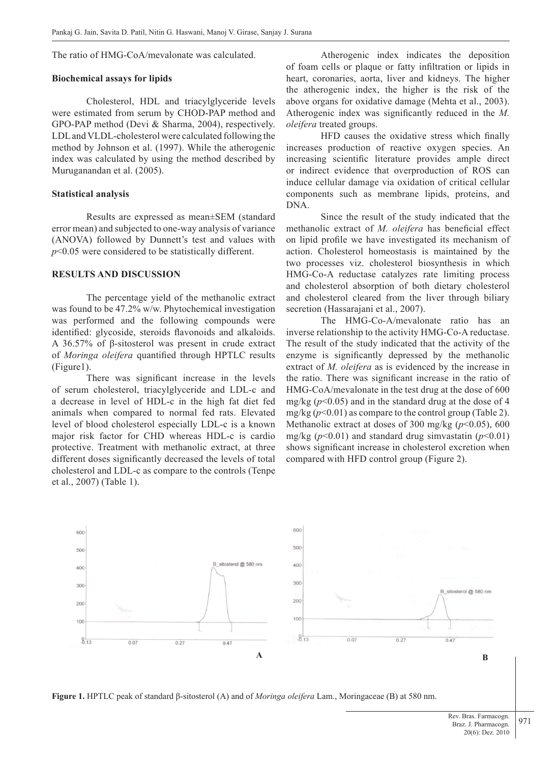The ratio of HMG-CoA/mevalonate was calculated.

#### **Biochemical assays for lipids**

Cholesterol, HDL and triacylglyceride levels were estimated from serum by CHOD-PAP method and GPO-PAP method (Devi & Sharma, 2004), respectively. LDL and VLDL-cholesterol were calculated following the method by Johnson et al. (1997). While the atherogenic index was calculated by using the method described by Muruganandan et al. (2005).

#### **Statistical analysis**

Results are expressed as mean±SEM (standard error mean) and subjected to one-way analysis of variance (ANOVA) followed by Dunnett's test and values with *p*<0.05 were considered to be statistically different.

#### **RESULTS AND DISCUSSION**

The percentage yield of the methanolic extract was found to be 47.2% w/w. Phytochemical investigation was performed and the following compounds were identified: glycoside, steroids flavonoids and alkaloids. A 36.57% of β-sitosterol was present in crude extract of *Moringa oleifera* quantified through HPTLC results (Figure1).

There was significant increase in the levels of serum cholesterol, triacylglyceride and LDL-c and a decrease in level of HDL-c in the high fat diet fed animals when compared to normal fed rats. Elevated level of blood cholesterol especially LDL-c is a known major risk factor for CHD whereas HDL-c is cardio protective. Treatment with methanolic extract, at three different doses significantly decreased the levels of total cholesterol and LDL-c as compare to the controls (Tenpe et al., 2007) (Table 1).

Atherogenic index indicates the deposition of foam cells or plaque or fatty infiltration or lipids in heart, coronaries, aorta, liver and kidneys. The higher the atherogenic index, the higher is the risk of the above organs for oxidative damage (Mehta et al., 2003). Atherogenic index was significantly reduced in the *M. oleifera* treated groups.

HFD causes the oxidative stress which finally increases production of reactive oxygen species. An increasing scientific literature provides ample direct or indirect evidence that overproduction of ROS can induce cellular damage via oxidation of critical cellular components such as membrane lipids, proteins, and DNA.

Since the result of the study indicated that the methanolic extract of *M. oleifera* has beneficial effect on lipid profile we have investigated its mechanism of action. Cholesterol homeostasis is maintained by the two processes viz. cholesterol biosynthesis in which HMG-Co-A reductase catalyzes rate limiting process and cholesterol absorption of both dietary cholesterol and cholesterol cleared from the liver through biliary secretion (Hassarajani et al., 2007).

The HMG-Co-A/mevalonate ratio has an inverse relationship to the activity HMG-Co-A reductase. The result of the study indicated that the activity of the enzyme is significantly depressed by the methanolic extract of *M. oleifera* as is evidenced by the increase in the ratio. There was significant increase in the ratio of HMG-CoA/mevalonate in the test drug at the dose of 600 mg/kg  $(p<0.05)$  and in the standard drug at the dose of 4 mg/kg  $(p<0.01)$  as compare to the control group (Table 2). Methanolic extract at doses of 300 mg/kg ( $p$ <0.05), 600 mg/kg  $(p<0.01)$  and standard drug simvastatin  $(p<0.01)$ shows significant increase in cholesterol excretion when compared with HFD control group (Figure 2).



**Figure 1.** HPTLC peak of standard β-sitosterol (A) and of *Moringa oleifera* Lam., Moringaceae (B) at 580 nm.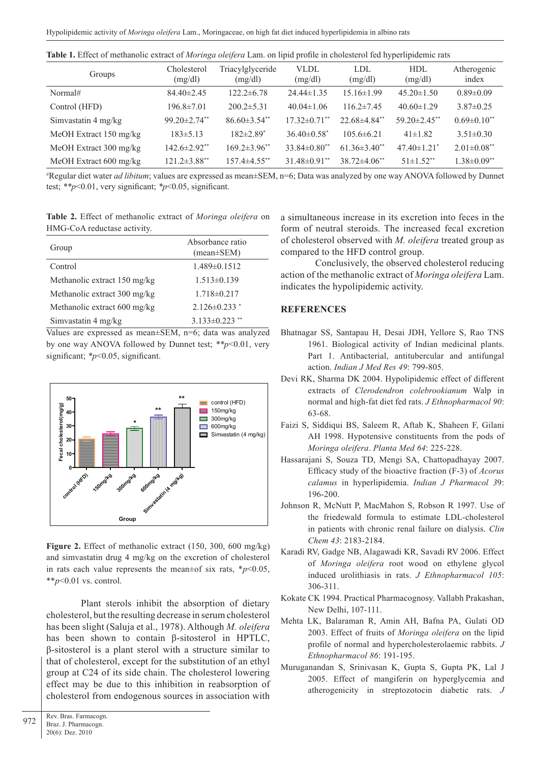| <b>Table 1.</b> Effect of methanolic extract of <i>Moringa oleifera</i> Lam. on lipid profile in cholesterol fed hyperlipidemic rats |                        |                             |                             |                  |                                |                      |  |
|--------------------------------------------------------------------------------------------------------------------------------------|------------------------|-----------------------------|-----------------------------|------------------|--------------------------------|----------------------|--|
| Groups                                                                                                                               | Cholesterol<br>(mg/dl) | Triacylglyceride<br>(mg/dl) | VLDL<br>(mg/dl)             | LDL<br>(mg/dl)   | <b>HDL</b><br>(mg/dl)          | Atherogenic<br>index |  |
| Normal#                                                                                                                              | $84.40 \pm 2.45$       | $122.2 \pm 6.78$            | $24.44 \pm 1.35$            | $15.16 \pm 1.99$ | $45.20 \pm 1.50$               | $0.89 \pm 0.09$      |  |
| Control (HFD)                                                                                                                        | $196.8 \pm 7.01$       | $200.2 \pm 5.31$            | $40.04 \pm 1.06$            | $116.2 \pm 7.45$ | $40.60 \pm 1.29$               | $3.87\pm0.25$        |  |
| Simvastatin 4 mg/kg                                                                                                                  | $99.20 \pm 2.74$ **    | $86.60\pm3.54**$            | $17.32\pm0.71**$            | $22.68\pm4.84**$ | 59.20 $\pm$ 2.45 <sup>**</sup> | $0.69 \pm 0.10$ **   |  |
| MeOH Extract $150 \text{ mg/kg}$                                                                                                     | $183 \pm 5.13$         | $182 \pm 2.89$ <sup>*</sup> | $36.40\pm0.58$ <sup>*</sup> | $105.6 \pm 6.21$ | $41\pm1.82$                    | $3.51 \pm 0.30$      |  |

**Table 1.** Effect of methanolic extract of *Moringa oleifera* Lam. on lipid profile in cholesterol fed hyperlipidemic rats

# Regular diet water *ad libitum*; values are expressed as mean±SEM, n=6; Data was analyzed by one way ANOVA followed by Dunnet test; *\*\*p*<0.01, very significant; *\*p*<0.05, significant.

MeOH Extract 300 mg/kg 142.6±2.92\*\* 169.2±3.96\*\* 33.84±0.80\*\* 61.36±3.40\*\* 47.40±1.21\* 2.01±0.08\*\* MeOH Extract 600 mg/kg 121.2±3.88\*\* 157.4±4.55\*\* 31.48±0.91\*\* 38.72±4.06\*\* 51±1.52\*\* 1.38±0.09\*\*

**Table 2.** Effect of methanolic extract of *Moringa oleifera* on HMG-CoA reductase activity.

| Group                        | Absorbance ratio<br>$mean \pm SEM$ ) |  |  |  |
|------------------------------|--------------------------------------|--|--|--|
| Control                      | $1.489 \pm 0.1512$                   |  |  |  |
| Methanolic extract 150 mg/kg | $1.513 \pm 0.139$                    |  |  |  |
| Methanolic extract 300 mg/kg | $1.718 \pm 0.217$                    |  |  |  |
| Methanolic extract 600 mg/kg | $2.126\pm0.233$ *                    |  |  |  |
| Simvastatin 4 mg/kg          | $3.133 \pm 0.223$                    |  |  |  |

Values are expressed as mean±SEM, n=6; data was analyzed by one way ANOVA followed by Dunnet test; *\*\*p*<0.01, very significant; *\*p*<0.05, significant.



**Figure 2.** Effect of methanolic extract (150, 300, 600 mg/kg) and simvastatin drug 4 mg/kg on the excretion of cholesterol in rats each value represents the mean±of six rats,  $**p* < 0.05$ , \*\**p*<0.01 vs. control.

Plant sterols inhibit the absorption of dietary cholesterol, but the resulting decrease in serum cholesterol has been slight (Saluja et al., 1978). Although *M. oleifera*  has been shown to contain β-sitosterol in HPTLC, β-sitosterol is a plant sterol with a structure similar to that of cholesterol, except for the substitution of an ethyl group at C24 of its side chain. The cholesterol lowering effect may be due to this inhibition in reabsorption of cholesterol from endogenous sources in association with

972 Rev. Bras. Farmacogn. Braz. J. Pharmacogn. 20(6): Dez. 2010

a simultaneous increase in its excretion into feces in the form of neutral steroids. The increased fecal excretion of cholesterol observed with *M. oleifera* treated group as compared to the HFD control group.

Conclusively, the observed cholesterol reducing action of the methanolic extract of *Moringa oleifera* Lam. indicates the hypolipidemic activity.

# **REFERENCES**

- Bhatnagar SS, Santapau H, Desai JDH, Yellore S, Rao TNS 1961. Biological activity of Indian medicinal plants. Part 1. Antibacterial, antitubercular and antifungal action. *Indian J Med Res 49*: 799-805.
- Devi RK, Sharma DK 2004. Hypolipidemic effect of different extracts of *Clerodendron colebrookianum* Walp in normal and high-fat diet fed rats. *J Ethnopharmacol 90*: 63-68.
- Faizi S, Siddiqui BS, Saleem R, Aftab K, Shaheen F, Gilani AH 1998. Hypotensive constituents from the pods of *Moringa oleifera*. *Planta Med 64*: 225-228.
- Hassarajani S, Souza TD, Mengi SA, Chattopadhayay 2007. Efficacy study of the bioactive fraction (F-3) of *Acorus calamus* in hyperlipidemia. *Indian J Pharmacol 3*9: 196-200.
- Johnson R, McNutt P, MacMahon S, Robson R 1997. Use of the friedewald formula to estimate LDL-cholesterol in patients with chronic renal failure on dialysis. *Clin Chem 43*: 2183-2184.
- Karadi RV, Gadge NB, Alagawadi KR, Savadi RV 2006. Effect of *Moringa oleifera* root wood on ethylene glycol induced urolithiasis in rats. *J Ethnopharmacol 105*: 306-311.
- Kokate CK 1994. Practical Pharmacognosy. Vallabh Prakashan, New Delhi, 107-111.
- Mehta LK, Balaraman R, Amin AH, Bafna PA, Gulati OD 2003. Effect of fruits of *Moringa oleifera* on the lipid profile of normal and hypercholesterolaemic rabbits. *J Ethnopharmacol 86*: 191-195.
- Muruganandan S, Srinivasan K, Gupta S, Gupta PK, Lal J 2005. Effect of mangiferin on hyperglycemia and atherogenicity in streptozotocin diabetic rats. *J*